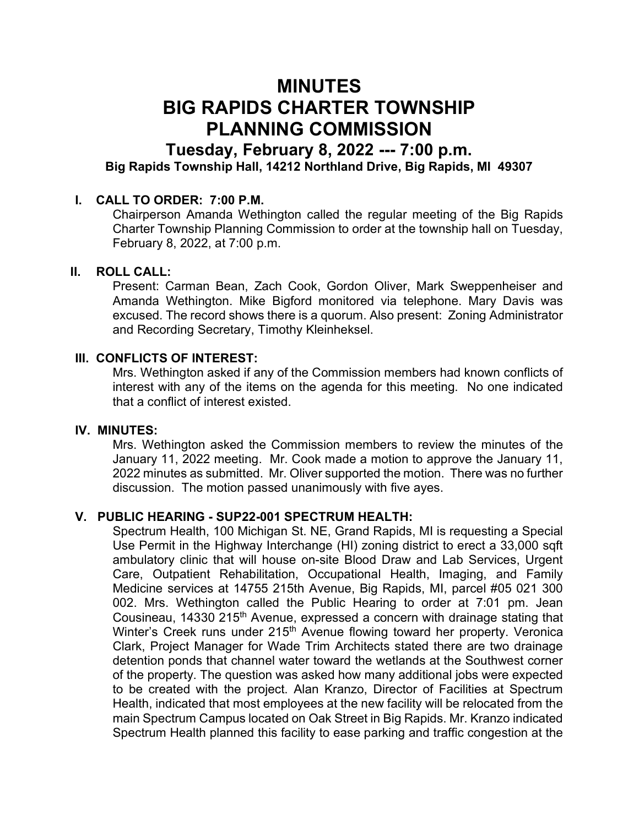# MINUTES BIG RAPIDS CHARTER TOWNSHIP PLANNING COMMISSION

## Tuesday, February 8, 2022 --- 7:00 p.m. Big Rapids Township Hall, 14212 Northland Drive, Big Rapids, MI 49307

### I. CALL TO ORDER: 7:00 P.M.

Chairperson Amanda Wethington called the regular meeting of the Big Rapids Charter Township Planning Commission to order at the township hall on Tuesday, February 8, 2022, at 7:00 p.m.

#### II. ROLL CALL:

Present: Carman Bean, Zach Cook, Gordon Oliver, Mark Sweppenheiser and Amanda Wethington. Mike Bigford monitored via telephone. Mary Davis was excused. The record shows there is a quorum. Also present: Zoning Administrator and Recording Secretary, Timothy Kleinheksel.

#### III. CONFLICTS OF INTEREST:

Mrs. Wethington asked if any of the Commission members had known conflicts of interest with any of the items on the agenda for this meeting. No one indicated that a conflict of interest existed.

#### IV. MINUTES:

Mrs. Wethington asked the Commission members to review the minutes of the January 11, 2022 meeting. Mr. Cook made a motion to approve the January 11, 2022 minutes as submitted. Mr. Oliver supported the motion. There was no further discussion. The motion passed unanimously with five ayes.

#### V. PUBLIC HEARING - SUP22-001 SPECTRUM HEALTH:

Spectrum Health, 100 Michigan St. NE, Grand Rapids, MI is requesting a Special Use Permit in the Highway Interchange (HI) zoning district to erect a 33,000 sqft ambulatory clinic that will house on-site Blood Draw and Lab Services, Urgent Care, Outpatient Rehabilitation, Occupational Health, Imaging, and Family Medicine services at 14755 215th Avenue, Big Rapids, MI, parcel #05 021 300 002. Mrs. Wethington called the Public Hearing to order at 7:01 pm. Jean Cousineau, 14330 215<sup>th</sup> Avenue, expressed a concern with drainage stating that Winter's Creek runs under 215<sup>th</sup> Avenue flowing toward her property. Veronica Clark, Project Manager for Wade Trim Architects stated there are two drainage detention ponds that channel water toward the wetlands at the Southwest corner of the property. The question was asked how many additional jobs were expected to be created with the project. Alan Kranzo, Director of Facilities at Spectrum Health, indicated that most employees at the new facility will be relocated from the main Spectrum Campus located on Oak Street in Big Rapids. Mr. Kranzo indicated Spectrum Health planned this facility to ease parking and traffic congestion at the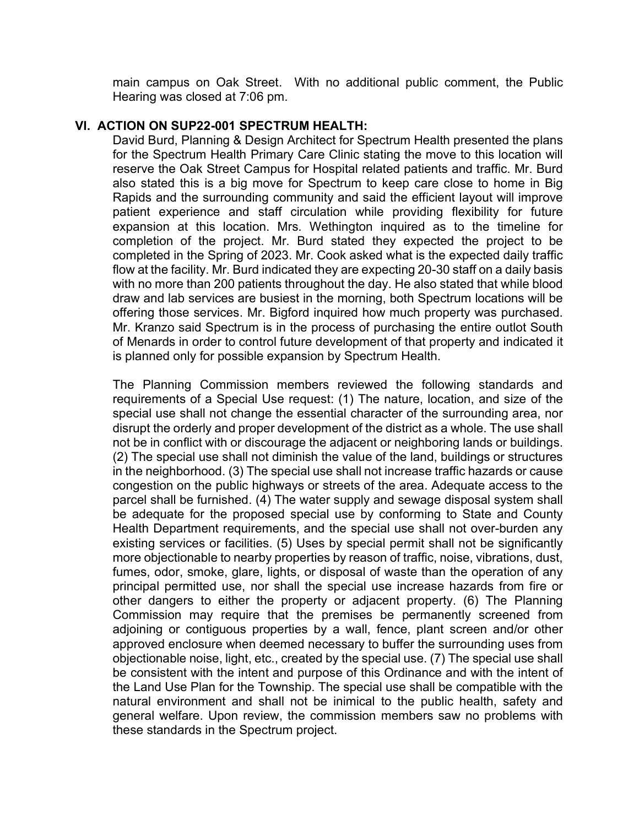main campus on Oak Street. With no additional public comment, the Public Hearing was closed at 7:06 pm.

#### VI. ACTION ON SUP22-001 SPECTRUM HEALTH:

David Burd, Planning & Design Architect for Spectrum Health presented the plans for the Spectrum Health Primary Care Clinic stating the move to this location will reserve the Oak Street Campus for Hospital related patients and traffic. Mr. Burd also stated this is a big move for Spectrum to keep care close to home in Big Rapids and the surrounding community and said the efficient layout will improve patient experience and staff circulation while providing flexibility for future expansion at this location. Mrs. Wethington inquired as to the timeline for completion of the project. Mr. Burd stated they expected the project to be completed in the Spring of 2023. Mr. Cook asked what is the expected daily traffic flow at the facility. Mr. Burd indicated they are expecting 20-30 staff on a daily basis with no more than 200 patients throughout the day. He also stated that while blood draw and lab services are busiest in the morning, both Spectrum locations will be offering those services. Mr. Bigford inquired how much property was purchased. Mr. Kranzo said Spectrum is in the process of purchasing the entire outlot South of Menards in order to control future development of that property and indicated it is planned only for possible expansion by Spectrum Health.

The Planning Commission members reviewed the following standards and requirements of a Special Use request: (1) The nature, location, and size of the special use shall not change the essential character of the surrounding area, nor disrupt the orderly and proper development of the district as a whole. The use shall not be in conflict with or discourage the adjacent or neighboring lands or buildings. (2) The special use shall not diminish the value of the land, buildings or structures in the neighborhood. (3) The special use shall not increase traffic hazards or cause congestion on the public highways or streets of the area. Adequate access to the parcel shall be furnished. (4) The water supply and sewage disposal system shall be adequate for the proposed special use by conforming to State and County Health Department requirements, and the special use shall not over-burden any existing services or facilities. (5) Uses by special permit shall not be significantly more objectionable to nearby properties by reason of traffic, noise, vibrations, dust, fumes, odor, smoke, glare, lights, or disposal of waste than the operation of any principal permitted use, nor shall the special use increase hazards from fire or other dangers to either the property or adjacent property. (6) The Planning Commission may require that the premises be permanently screened from adjoining or contiguous properties by a wall, fence, plant screen and/or other approved enclosure when deemed necessary to buffer the surrounding uses from objectionable noise, light, etc., created by the special use. (7) The special use shall be consistent with the intent and purpose of this Ordinance and with the intent of the Land Use Plan for the Township. The special use shall be compatible with the natural environment and shall not be inimical to the public health, safety and general welfare. Upon review, the commission members saw no problems with these standards in the Spectrum project.